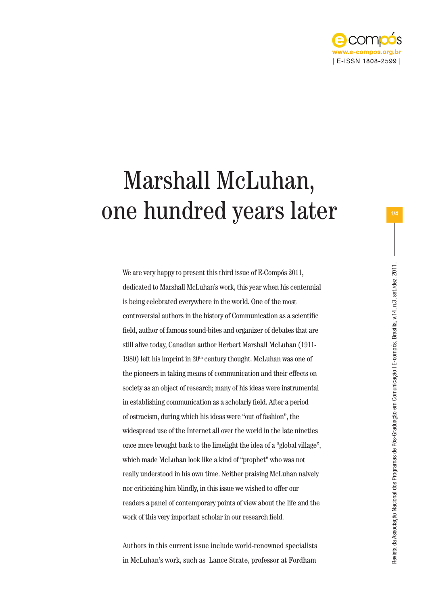

## Marshall McLuhan, one hundred years later

We are very happy to present this third issue of E-Compós 2011, dedicated to Marshall McLuhan's work, this year when his centennial is being celebrated everywhere in the world. One of the most controversial authors in the history of Communication as a scientific field, author of famous sound-bites and organizer of debates that are still alive today, Canadian author Herbert Marshall McLuhan (1911- 1980) left his imprint in  $20<sup>th</sup>$  century thought. McLuhan was one of the pioneers in taking means of communication and their effects on society as an object of research; many of his ideas were instrumental in establishing communication as a scholarly field. After a period of ostracism, during which his ideas were "out of fashion", the widespread use of the Internet all over the world in the late nineties once more brought back to the limelight the idea of a "global village", which made McLuhan look like a kind of "prophet" who was not really understood in his own time. Neither praising McLuhan naively nor criticizing him blindly, in this issue we wished to offer our readers a panel of contemporary points of view about the life and the work of this very important scholar in our research field.

Authors in this current issue include world-renowned specialists in McLuhan's work, such as Lance Strate, professor at Fordham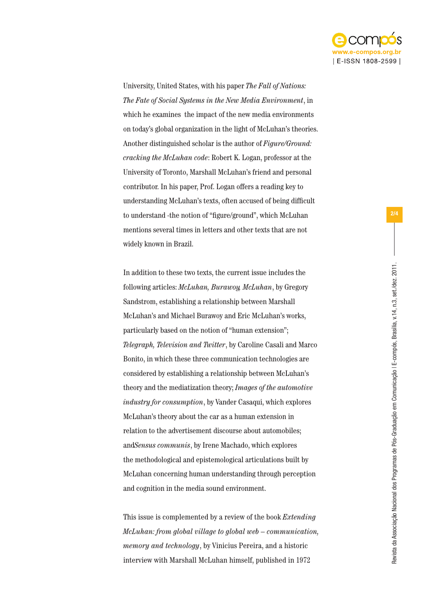

University, United States, with his paper *The Fall of Nations: The Fate of Social Systems in the New Media Environment*, in which he examines the impact of the new media environments on today's global organization in the light of McLuhan's theories. Another distinguished scholar is the author of *Figure/Ground: cracking the McLuhan code*: Robert K. Logan, professor at the University of Toronto, Marshall McLuhan's friend and personal contributor. In his paper, Prof. Logan offers a reading key to understanding McLuhan's texts, often accused of being difficult to understand -the notion of "figure/ground", which McLuhan mentions several times in letters and other texts that are not widely known in Brazil.

In addition to these two texts, the current issue includes the following articles: *McLuhan, Burawoy, McLuhan*, by Gregory Sandstrom, establishing a relationship between Marshall McLuhan's and Michael Burawoy and Eric McLuhan's works, particularly based on the notion of "human extension"; *Telegraph, Television and Twitter*, by Caroline Casali and Marco Bonito, in which these three communication technologies are considered by establishing a relationship between McLuhan's theory and the mediatization theory; *Images of the automotive industry for consumption*, by Vander Casaqui, which explores McLuhan's theory about the car as a human extension in relation to the advertisement discourse about automobiles; and*Sensus communis*, by Irene Machado, which explores the methodological and epistemological articulations built by McLuhan concerning human understanding through perception and cognition in the media sound environment.

This issue is complemented by a review of the book *Extending McLuhan: from global village to global web – communication, memory and technology*, by Vinicius Pereira, and a historic interview with Marshall McLuhan himself, published in 1972